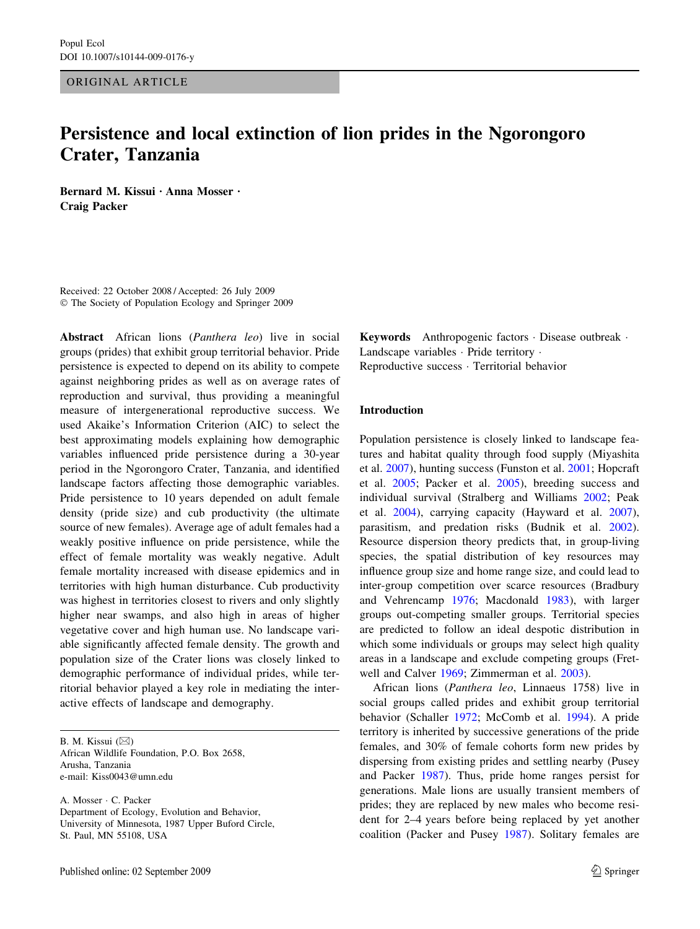# ORIGINAL ARTICLE

# Persistence and local extinction of lion prides in the Ngorongoro Crater, Tanzania

Bernard M. Kissui · Anna Mosser · Craig Packer

Received: 22 October 2008 / Accepted: 26 July 2009 The Society of Population Ecology and Springer 2009

Abstract African lions (Panthera leo) live in social groups (prides) that exhibit group territorial behavior. Pride persistence is expected to depend on its ability to compete against neighboring prides as well as on average rates of reproduction and survival, thus providing a meaningful measure of intergenerational reproductive success. We used Akaike's Information Criterion (AIC) to select the best approximating models explaining how demographic variables influenced pride persistence during a 30-year period in the Ngorongoro Crater, Tanzania, and identified landscape factors affecting those demographic variables. Pride persistence to 10 years depended on adult female density (pride size) and cub productivity (the ultimate source of new females). Average age of adult females had a weakly positive influence on pride persistence, while the effect of female mortality was weakly negative. Adult female mortality increased with disease epidemics and in territories with high human disturbance. Cub productivity was highest in territories closest to rivers and only slightly higher near swamps, and also high in areas of higher vegetative cover and high human use. No landscape variable significantly affected female density. The growth and population size of the Crater lions was closely linked to demographic performance of individual prides, while territorial behavior played a key role in mediating the interactive effects of landscape and demography.

B. M. Kissui  $(\boxtimes)$ African Wildlife Foundation, P.O. Box 2658, Arusha, Tanzania e-mail: Kiss0043@umn.edu

A. Mosser · C. Packer Department of Ecology, Evolution and Behavior, University of Minnesota, 1987 Upper Buford Circle, St. Paul, MN 55108, USA

Keywords Anthropogenic factors  $\cdot$  Disease outbreak  $\cdot$ Landscape variables · Pride territory · Reproductive success · Territorial behavior

# Introduction

Population persistence is closely linked to landscape features and habitat quality through food supply (Miyashita et al. [2007](#page-8-0)), hunting success (Funston et al. [2001](#page-8-0); Hopcraft et al. [2005;](#page-8-0) Packer et al. [2005\)](#page-8-0), breeding success and individual survival (Stralberg and Williams [2002;](#page-8-0) Peak et al. [2004\)](#page-8-0), carrying capacity (Hayward et al. [2007](#page-8-0)), parasitism, and predation risks (Budnik et al. [2002](#page-7-0)). Resource dispersion theory predicts that, in group-living species, the spatial distribution of key resources may influence group size and home range size, and could lead to inter-group competition over scarce resources (Bradbury and Vehrencamp [1976](#page-7-0); Macdonald [1983\)](#page-8-0), with larger groups out-competing smaller groups. Territorial species are predicted to follow an ideal despotic distribution in which some individuals or groups may select high quality areas in a landscape and exclude competing groups (Fretwell and Calver [1969;](#page-8-0) Zimmerman et al. [2003](#page-8-0)).

African lions (Panthera leo, Linnaeus 1758) live in social groups called prides and exhibit group territorial behavior (Schaller [1972](#page-8-0); McComb et al. [1994\)](#page-8-0). A pride territory is inherited by successive generations of the pride females, and 30% of female cohorts form new prides by dispersing from existing prides and settling nearby (Pusey and Packer [1987](#page-8-0)). Thus, pride home ranges persist for generations. Male lions are usually transient members of prides; they are replaced by new males who become resident for 2–4 years before being replaced by yet another coalition (Packer and Pusey [1987](#page-8-0)). Solitary females are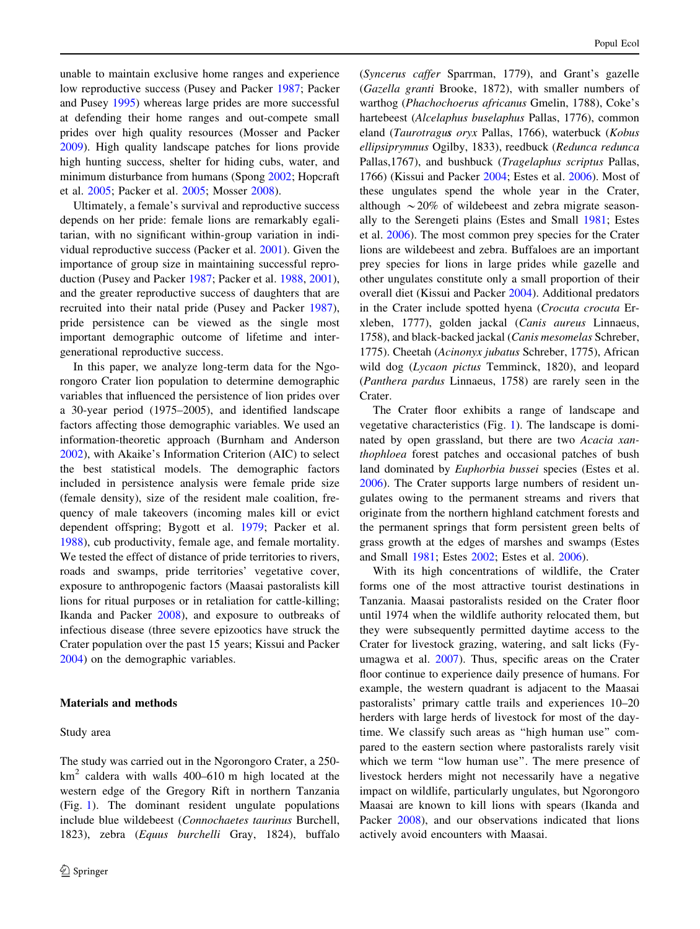unable to maintain exclusive home ranges and experience low reproductive success (Pusey and Packer [1987;](#page-8-0) Packer and Pusey [1995\)](#page-8-0) whereas large prides are more successful at defending their home ranges and out-compete small prides over high quality resources (Mosser and Packer [2009\)](#page-8-0). High quality landscape patches for lions provide high hunting success, shelter for hiding cubs, water, and minimum disturbance from humans (Spong [2002](#page-8-0); Hopcraft et al. [2005;](#page-8-0) Packer et al. [2005](#page-8-0); Mosser [2008\)](#page-8-0).

Ultimately, a female's survival and reproductive success depends on her pride: female lions are remarkably egalitarian, with no significant within-group variation in individual reproductive success (Packer et al. [2001](#page-8-0)). Given the importance of group size in maintaining successful reproduction (Pusey and Packer [1987;](#page-8-0) Packer et al. [1988](#page-8-0), [2001](#page-8-0)), and the greater reproductive success of daughters that are recruited into their natal pride (Pusey and Packer [1987](#page-8-0)), pride persistence can be viewed as the single most important demographic outcome of lifetime and intergenerational reproductive success.

In this paper, we analyze long-term data for the Ngorongoro Crater lion population to determine demographic variables that influenced the persistence of lion prides over a 30-year period (1975–2005), and identified landscape factors affecting those demographic variables. We used an information-theoretic approach (Burnham and Anderson [2002\)](#page-7-0), with Akaike's Information Criterion (AIC) to select the best statistical models. The demographic factors included in persistence analysis were female pride size (female density), size of the resident male coalition, frequency of male takeovers (incoming males kill or evict dependent offspring; Bygott et al. [1979;](#page-8-0) Packer et al. [1988\)](#page-8-0), cub productivity, female age, and female mortality. We tested the effect of distance of pride territories to rivers, roads and swamps, pride territories' vegetative cover, exposure to anthropogenic factors (Maasai pastoralists kill lions for ritual purposes or in retaliation for cattle-killing; Ikanda and Packer [2008](#page-8-0)), and exposure to outbreaks of infectious disease (three severe epizootics have struck the Crater population over the past 15 years; Kissui and Packer [2004\)](#page-8-0) on the demographic variables.

## Materials and methods

## Study area

The study was carried out in the Ngorongoro Crater, a 250  $km<sup>2</sup>$  caldera with walls 400–610 m high located at the western edge of the Gregory Rift in northern Tanzania (Fig. [1](#page-2-0)). The dominant resident ungulate populations include blue wildebeest (Connochaetes taurinus Burchell, 1823), zebra (Equus burchelli Gray, 1824), buffalo (Syncerus caffer Sparrman, 1779), and Grant's gazelle (Gazella granti Brooke, 1872), with smaller numbers of warthog (Phachochoerus africanus Gmelin, 1788), Coke's hartebeest (Alcelaphus buselaphus Pallas, 1776), common eland (Taurotragu*s* oryx Pallas, 1766), waterbuck (Kobus ellipsiprymnus Ogilby, 1833), reedbuck (Redunca redunca Pallas,1767), and bushbuck (Tragelaphus scriptus Pallas, 1766) (Kissui and Packer [2004](#page-8-0); Estes et al. [2006\)](#page-8-0). Most of these ungulates spend the whole year in the Crater, although  $\sim$ 20% of wildebeest and zebra migrate seasonally to the Serengeti plains (Estes and Small [1981](#page-8-0); Estes et al. [2006](#page-8-0)). The most common prey species for the Crater lions are wildebeest and zebra. Buffaloes are an important prey species for lions in large prides while gazelle and other ungulates constitute only a small proportion of their overall diet (Kissui and Packer [2004\)](#page-8-0). Additional predators in the Crater include spotted hyena (Crocuta crocuta Erxleben, 1777), golden jackal (Canis aureus Linnaeus, 1758), and black-backed jackal (Canis mesomelas Schreber, 1775). Cheetah (Acinonyx jubatus Schreber, 1775), African wild dog (Lycaon pictus Temminck, 1820), and leopard (Panthera pardus Linnaeus, 1758) are rarely seen in the Crater.

The Crater floor exhibits a range of landscape and vegetative characteristics (Fig. [1](#page-2-0)). The landscape is dominated by open grassland, but there are two Acacia xanthophloea forest patches and occasional patches of bush land dominated by Euphorbia bussei species (Estes et al. [2006](#page-8-0)). The Crater supports large numbers of resident ungulates owing to the permanent streams and rivers that originate from the northern highland catchment forests and the permanent springs that form persistent green belts of grass growth at the edges of marshes and swamps (Estes and Small [1981;](#page-8-0) Estes [2002](#page-8-0); Estes et al. [2006](#page-8-0)).

With its high concentrations of wildlife, the Crater forms one of the most attractive tourist destinations in Tanzania. Maasai pastoralists resided on the Crater floor until 1974 when the wildlife authority relocated them, but they were subsequently permitted daytime access to the Crater for livestock grazing, watering, and salt licks (Fyumagwa et al. [2007\)](#page-8-0). Thus, specific areas on the Crater floor continue to experience daily presence of humans. For example, the western quadrant is adjacent to the Maasai pastoralists' primary cattle trails and experiences 10–20 herders with large herds of livestock for most of the daytime. We classify such areas as ''high human use'' compared to the eastern section where pastoralists rarely visit which we term "low human use". The mere presence of livestock herders might not necessarily have a negative impact on wildlife, particularly ungulates, but Ngorongoro Maasai are known to kill lions with spears (Ikanda and Packer [2008](#page-8-0)), and our observations indicated that lions actively avoid encounters with Maasai.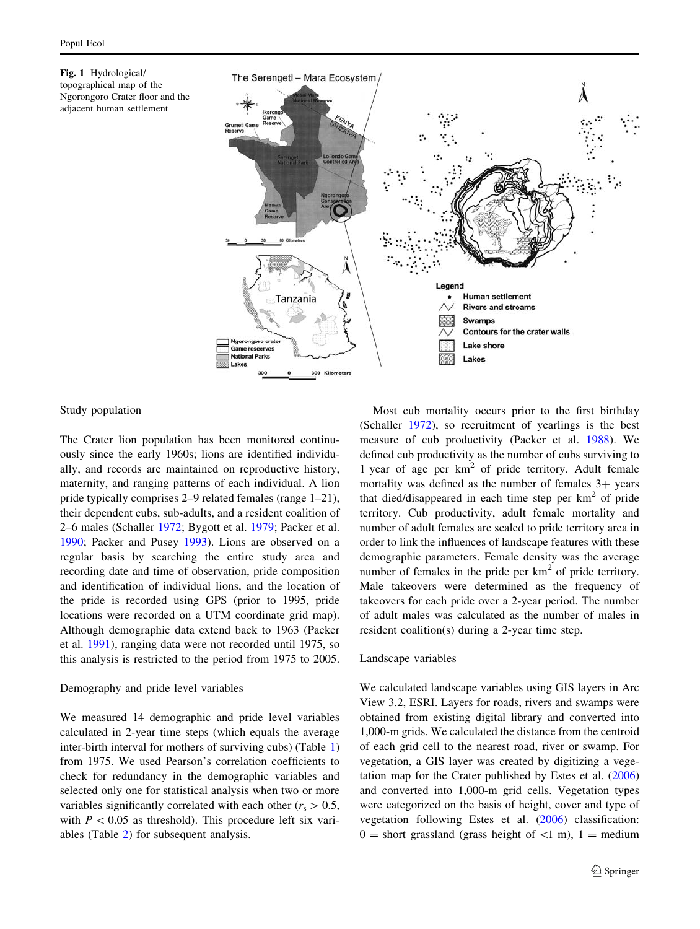<span id="page-2-0"></span>



# Study population

The Crater lion population has been monitored continuously since the early 1960s; lions are identified individually, and records are maintained on reproductive history, maternity, and ranging patterns of each individual. A lion pride typically comprises 2–9 related females (range 1–21), their dependent cubs, sub-adults, and a resident coalition of 2–6 males (Schaller [1972](#page-8-0); Bygott et al. [1979](#page-8-0); Packer et al. [1990;](#page-8-0) Packer and Pusey [1993](#page-8-0)). Lions are observed on a regular basis by searching the entire study area and recording date and time of observation, pride composition and identification of individual lions, and the location of the pride is recorded using GPS (prior to 1995, pride locations were recorded on a UTM coordinate grid map). Although demographic data extend back to 1963 (Packer et al. [1991](#page-8-0)), ranging data were not recorded until 1975, so this analysis is restricted to the period from 1975 to 2005.

# Demography and pride level variables

We measured 14 demographic and pride level variables calculated in 2-year time steps (which equals the average inter-birth interval for mothers of surviving cubs) (Table [1\)](#page-3-0) from 1975. We used Pearson's correlation coefficients to check for redundancy in the demographic variables and selected only one for statistical analysis when two or more variables significantly correlated with each other ( $r_s > 0.5$ , with  $P < 0.05$  as threshold). This procedure left six variables (Table [2](#page-3-0)) for subsequent analysis.

Most cub mortality occurs prior to the first birthday (Schaller [1972](#page-8-0)), so recruitment of yearlings is the best measure of cub productivity (Packer et al. [1988\)](#page-8-0). We defined cub productivity as the number of cubs surviving to 1 year of age per  $km^2$  of pride territory. Adult female mortality was defined as the number of females  $3+$  years that died/disappeared in each time step per  $km<sup>2</sup>$  of pride territory. Cub productivity, adult female mortality and number of adult females are scaled to pride territory area in order to link the influences of landscape features with these demographic parameters. Female density was the average number of females in the pride per  $km<sup>2</sup>$  of pride territory. Male takeovers were determined as the frequency of takeovers for each pride over a 2-year period. The number of adult males was calculated as the number of males in resident coalition(s) during a 2-year time step.

# Landscape variables

We calculated landscape variables using GIS layers in Arc View 3.2, ESRI. Layers for roads, rivers and swamps were obtained from existing digital library and converted into 1,000-m grids. We calculated the distance from the centroid of each grid cell to the nearest road, river or swamp. For vegetation, a GIS layer was created by digitizing a vegetation map for the Crater published by Estes et al. ([2006\)](#page-8-0) and converted into 1,000-m grid cells. Vegetation types were categorized on the basis of height, cover and type of vegetation following Estes et al. ([2006\)](#page-8-0) classification:  $0 =$  short grassland (grass height of  $\langle 1 \text{ m} \rangle$ , 1 = medium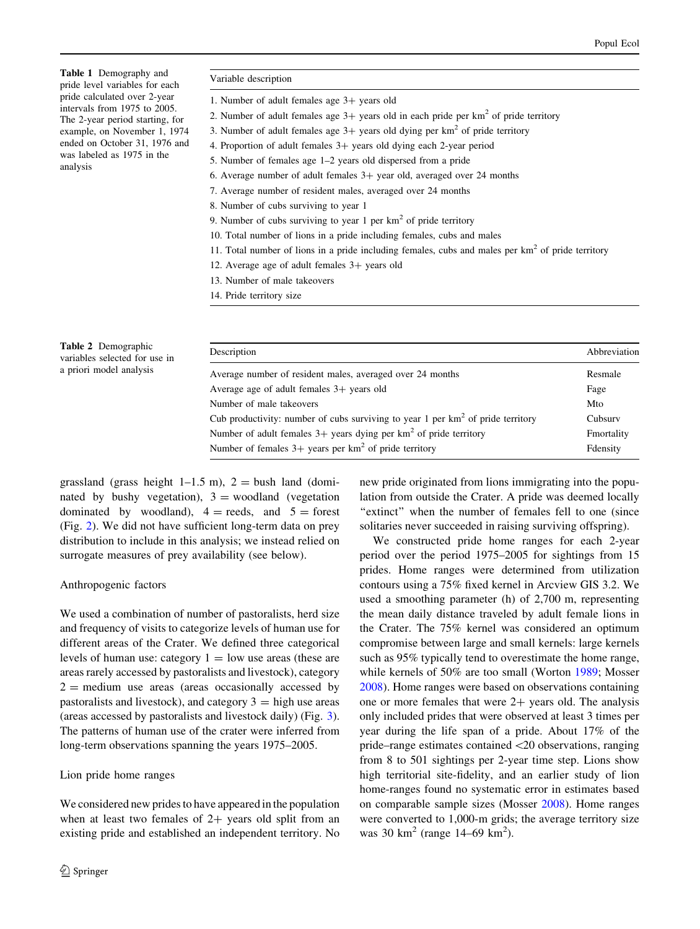<span id="page-3-0"></span>Table 1 Demography and pride level variables for each pride calculated over 2-year intervals from 1975 to 2005. The 2-year period starting, for example, on November 1, 1974 ended on October 31, 1976 and was labeled as 1975 in the analysis

- 1. Number of adult females age 3+ years old
- 2. Number of adult females age  $3+$  years old in each pride per km<sup>2</sup> of pride territory
- 3. Number of adult females age  $3+$  years old dying per km<sup>2</sup> of pride territory
- 4. Proportion of adult females  $3+$  years old dying each 2-year period
- 5. Number of females age 1–2 years old dispersed from a pride
- 6. Average number of adult females  $3+$  year old, averaged over 24 months
- 7. Average number of resident males, averaged over 24 months
- 8. Number of cubs surviving to year 1
- 9. Number of cubs surviving to year 1 per  $km<sup>2</sup>$  of pride territory
- 10. Total number of lions in a pride including females, cubs and males
- 11. Total number of lions in a pride including females, cubs and males per  $km<sup>2</sup>$  of pride territory
- 12. Average age of adult females  $3+$  years old
- 13. Number of male takeovers
- 14. Pride territory size

| <b>Table 2</b> Demographic<br>variables selected for use in<br>a priori model analysis | Description                                                                       | Abbreviation |
|----------------------------------------------------------------------------------------|-----------------------------------------------------------------------------------|--------------|
|                                                                                        | Average number of resident males, averaged over 24 months                         | Resmale      |
|                                                                                        | Average age of adult females $3+$ years old                                       | Fage         |
|                                                                                        | Number of male takeovers                                                          | Mto          |
|                                                                                        | Cub productivity: number of cubs surviving to year 1 per $km2$ of pride territory | Cubsury      |
|                                                                                        | Number of adult females $3+$ years dying per km <sup>2</sup> of pride territory   | Fmortality   |
|                                                                                        | Number of females $3+$ years per km <sup>2</sup> of pride territory               | Fdensity     |

grassland (grass height 1–1.5 m),  $2 =$  bush land (dominated by bushy vegetation),  $3 =$  woodland (vegetation dominated by woodland),  $4 = \text{reeds}$ , and  $5 = \text{forest}$ (Fig. [2](#page-4-0)). We did not have sufficient long-term data on prey distribution to include in this analysis; we instead relied on surrogate measures of prey availability (see below).

#### Anthropogenic factors

We used a combination of number of pastoralists, herd size and frequency of visits to categorize levels of human use for different areas of the Crater. We defined three categorical levels of human use: category  $1 =$  low use areas (these are areas rarely accessed by pastoralists and livestock), category  $2 =$  medium use areas (areas occasionally accessed by pastoralists and livestock), and category  $3 =$  high use areas (areas accessed by pastoralists and livestock daily) (Fig. [3](#page-4-0)). The patterns of human use of the crater were inferred from long-term observations spanning the years 1975–2005.

# Lion pride home ranges

We considered new prides to have appeared in the population when at least two females of  $2+$  years old split from an existing pride and established an independent territory. No new pride originated from lions immigrating into the population from outside the Crater. A pride was deemed locally "extinct" when the number of females fell to one (since solitaries never succeeded in raising surviving offspring).

We constructed pride home ranges for each 2-year period over the period 1975–2005 for sightings from 15 prides. Home ranges were determined from utilization contours using a 75% fixed kernel in Arcview GIS 3.2. We used a smoothing parameter (h) of 2,700 m, representing the mean daily distance traveled by adult female lions in the Crater. The 75% kernel was considered an optimum compromise between large and small kernels: large kernels such as 95% typically tend to overestimate the home range, while kernels of 50% are too small (Worton [1989](#page-8-0); Mosser [2008](#page-8-0)). Home ranges were based on observations containing one or more females that were  $2+$  years old. The analysis only included prides that were observed at least 3 times per year during the life span of a pride. About 17% of the pride–range estimates contained\20 observations, ranging from 8 to 501 sightings per 2-year time step. Lions show high territorial site-fidelity, and an earlier study of lion home-ranges found no systematic error in estimates based on comparable sample sizes (Mosser [2008\)](#page-8-0). Home ranges were converted to 1,000-m grids; the average territory size was 30 km<sup>2</sup> (range 14–69 km<sup>2</sup>).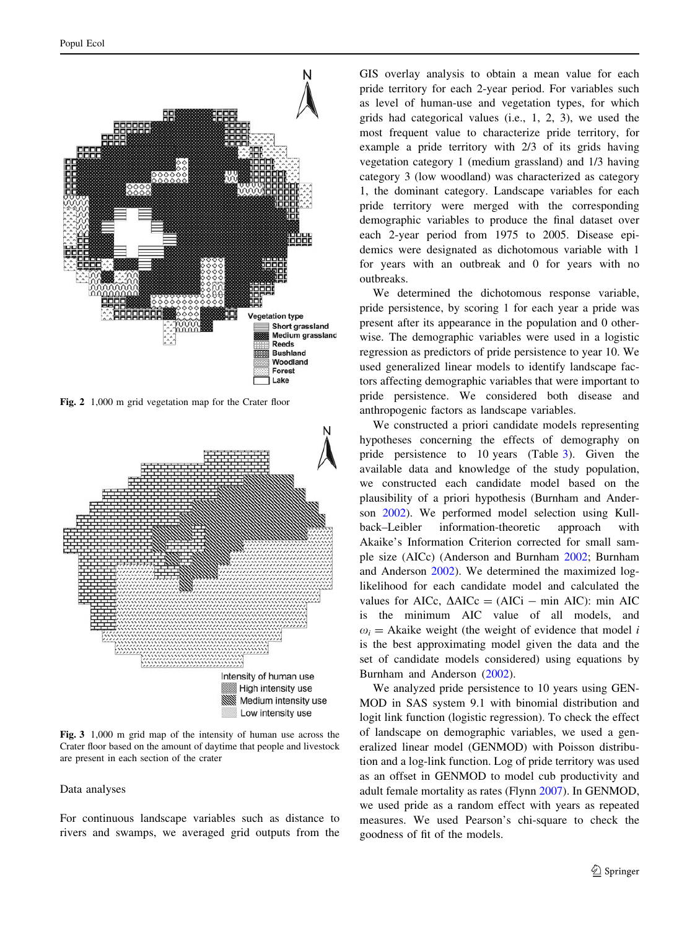<span id="page-4-0"></span>

Fig. 2 1,000 m grid vegetation map for the Crater floor



Fig. 3 1,000 m grid map of the intensity of human use across the Crater floor based on the amount of daytime that people and livestock are present in each section of the crater

#### Data analyses

For continuous landscape variables such as distance to rivers and swamps, we averaged grid outputs from the

GIS overlay analysis to obtain a mean value for each pride territory for each 2-year period. For variables such as level of human-use and vegetation types, for which grids had categorical values (i.e., 1, 2, 3), we used the most frequent value to characterize pride territory, for example a pride territory with 2/3 of its grids having vegetation category 1 (medium grassland) and 1/3 having category 3 (low woodland) was characterized as category 1, the dominant category. Landscape variables for each pride territory were merged with the corresponding demographic variables to produce the final dataset over each 2-year period from 1975 to 2005. Disease epidemics were designated as dichotomous variable with 1 for years with an outbreak and 0 for years with no outbreaks.

We determined the dichotomous response variable, pride persistence, by scoring 1 for each year a pride was present after its appearance in the population and 0 otherwise. The demographic variables were used in a logistic regression as predictors of pride persistence to year 10. We used generalized linear models to identify landscape factors affecting demographic variables that were important to pride persistence. We considered both disease and anthropogenic factors as landscape variables.

We constructed a priori candidate models representing hypotheses concerning the effects of demography on pride persistence to 10 years (Table [3\)](#page-5-0). Given the available data and knowledge of the study population, we constructed each candidate model based on the plausibility of a priori hypothesis (Burnham and Anderson [2002\)](#page-7-0). We performed model selection using Kullback–Leibler information-theoretic approach with Akaike's Information Criterion corrected for small sample size (AICc) (Anderson and Burnham [2002](#page-7-0); Burnham and Anderson [2002](#page-7-0)). We determined the maximized loglikelihood for each candidate model and calculated the values for AICc,  $\Delta AICc = (AICi - min AIC)$ : min AIC is the minimum AIC value of all models, and  $\omega_i$  = Akaike weight (the weight of evidence that model *i* is the best approximating model given the data and the set of candidate models considered) using equations by Burnham and Anderson [\(2002](#page-7-0)).

We analyzed pride persistence to 10 years using GEN-MOD in SAS system 9.1 with binomial distribution and logit link function (logistic regression). To check the effect of landscape on demographic variables, we used a generalized linear model (GENMOD) with Poisson distribution and a log-link function. Log of pride territory was used as an offset in GENMOD to model cub productivity and adult female mortality as rates (Flynn [2007\)](#page-8-0). In GENMOD, we used pride as a random effect with years as repeated measures. We used Pearson's chi-square to check the goodness of fit of the models.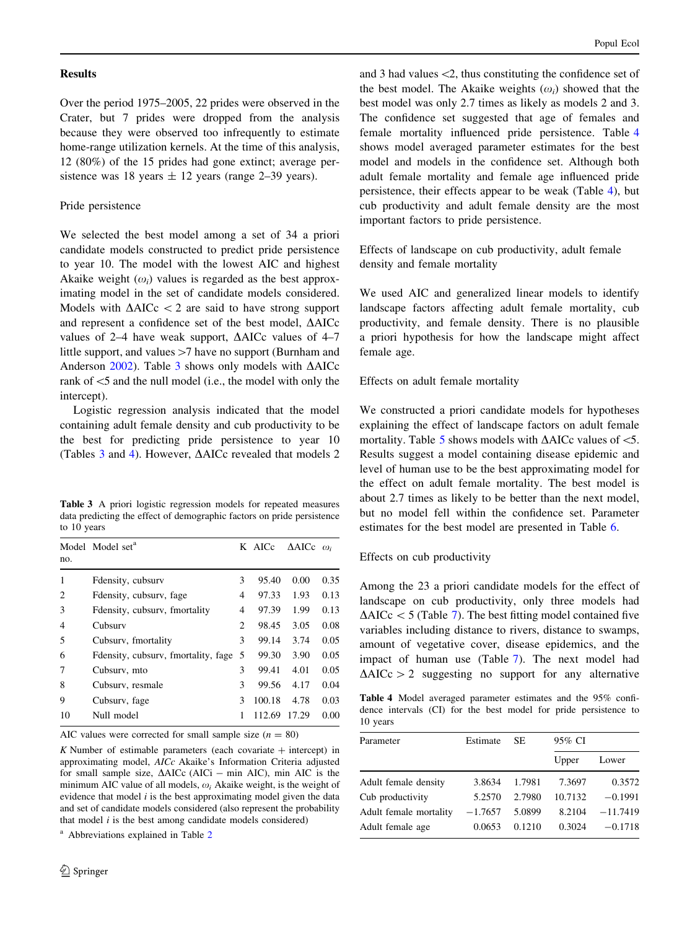### <span id="page-5-0"></span>**Results**

Over the period 1975–2005, 22 prides were observed in the Crater, but 7 prides were dropped from the analysis because they were observed too infrequently to estimate home-range utilization kernels. At the time of this analysis, 12 (80%) of the 15 prides had gone extinct; average persistence was 18 years  $\pm$  12 years (range 2–39 years).

### Pride persistence

We selected the best model among a set of 34 a priori candidate models constructed to predict pride persistence to year 10. The model with the lowest AIC and highest Akaike weight  $(\omega_i)$  values is regarded as the best approximating model in the set of candidate models considered. Models with  $\triangle AICc$  < 2 are said to have strong support and represent a confidence set of the best model,  $\triangle AICc$ values of 2–4 have weak support,  $\triangle AICc$  values of 4–7 little support, and values  $>7$  have no support (Burnham and Anderson  $2002$ ). Table 3 shows only models with  $\triangle$ AICc rank of  $\leq$ 5 and the null model (i.e., the model with only the intercept).

Logistic regression analysis indicated that the model containing adult female density and cub productivity to be the best for predicting pride persistence to year 10 (Tables  $3$  and  $4$ ). However,  $\triangle$ AICc revealed that models  $2$ 

Table 3 A priori logistic regression models for repeated measures data predicting the effect of demographic factors on pride persistence to 10 years

| no.            | Model Model set <sup>a</sup>  |     | K AICc | $\triangle$ AICc $\omega_i$ |      |
|----------------|-------------------------------|-----|--------|-----------------------------|------|
| 1              | Fdensity, cubsury             | 3   | 95.40  | 0.00                        | 0.35 |
| 2              | Fdensity, cubsury, fage       | 4   | 97.33  | 1.93                        | 0.13 |
| 3              | Fdensity, cubsury, fmortality | 4   | 97.39  | 1.99                        | 0.13 |
| $\overline{4}$ | Cubsurv                       | 2   | 98.45  | 3.05                        | 0.08 |
| 5              | Cubsury, fmortality           | 3   | 99.14  | 3.74                        | 0.05 |
| 6              | Freenwhere, Freenworth, Fage  | - 5 | 99.30  | 3.90                        | 0.05 |
| 7              | Cubsurv, mto                  | 3   | 99.41  | 4.01                        | 0.05 |
| 8              | Cubsury, resmale              | 3   | 99.56  | 4.17                        | 0.04 |
| 9              | Cubsury, fage                 | 3   | 100.18 | 4.78                        | 0.03 |
| 10             | Null model                    | 1   | 112.69 | 17.29                       | 0.00 |

AIC values were corrected for small sample size  $(n = 80)$ 

 $K$  Number of estimable parameters (each covariate  $+$  intercept) in approximating model, AICc Akaike's Information Criteria adjusted for small sample size,  $\triangle$ AICc (AICi - min AIC), min AIC is the minimum AIC value of all models,  $\omega_i$  Akaike weight, is the weight of evidence that model  $i$  is the best approximating model given the data and set of candidate models considered (also represent the probability that model  $i$  is the best among candidate models considered)

<sup>a</sup> Abbreviations explained in Table [2](#page-3-0)

and 3 had values  $\leq 2$ , thus constituting the confidence set of the best model. The Akaike weights  $(\omega_i)$  showed that the best model was only 2.7 times as likely as models 2 and 3. The confidence set suggested that age of females and female mortality influenced pride persistence. Table 4 shows model averaged parameter estimates for the best model and models in the confidence set. Although both adult female mortality and female age influenced pride persistence, their effects appear to be weak (Table 4), but cub productivity and adult female density are the most important factors to pride persistence.

Effects of landscape on cub productivity, adult female density and female mortality

We used AIC and generalized linear models to identify landscape factors affecting adult female mortality, cub productivity, and female density. There is no plausible a priori hypothesis for how the landscape might affect female age.

Effects on adult female mortality

We constructed a priori candidate models for hypotheses explaining the effect of landscape factors on adult female mortality. Table [5](#page-6-0) shows models with  $\triangle$ AICc values of  $\leq$ 5. Results suggest a model containing disease epidemic and level of human use to be the best approximating model for the effect on adult female mortality. The best model is about 2.7 times as likely to be better than the next model, but no model fell within the confidence set. Parameter estimates for the best model are presented in Table [6.](#page-6-0)

# Effects on cub productivity

Among the 23 a priori candidate models for the effect of landscape on cub productivity, only three models had  $\Delta AICc < 5$  (Table [7](#page-6-0)). The best fitting model contained five variables including distance to rivers, distance to swamps, amount of vegetative cover, disease epidemics, and the impact of human use (Table [7](#page-6-0)). The next model had  $\Delta AICc > 2$  suggesting no support for any alternative

Table 4 Model averaged parameter estimates and the 95% confidence intervals (CI) for the best model for pride persistence to 10 years

| Parameter              | Estimate  | SE.    | 95% CI  |            |
|------------------------|-----------|--------|---------|------------|
|                        |           |        | Upper   | Lower      |
| Adult female density   | 3.8634    | 1.7981 | 7.3697  | 0.3572     |
| Cub productivity       | 5.2570    | 2.7980 | 10.7132 | $-0.1991$  |
| Adult female mortality | $-1.7657$ | 5.0899 | 8.2104  | $-11.7419$ |
| Adult female age       | 0.0653    | 0.1210 | 0.3024  | $-0.1718$  |
|                        |           |        |         |            |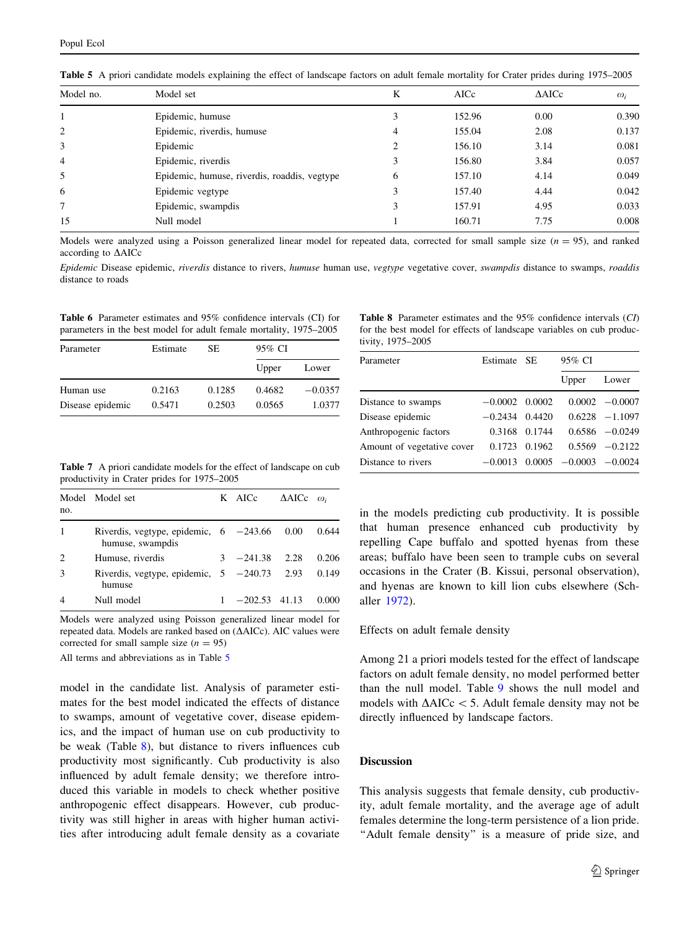| Model no.      | Model set                                    | K | AICc   | $\triangle$ AICc | $\omega_i$ |
|----------------|----------------------------------------------|---|--------|------------------|------------|
|                | Epidemic, humuse                             |   | 152.96 | 0.00             | 0.390      |
| 2              | Epidemic, riverdis, humuse                   | 4 | 155.04 | 2.08             | 0.137      |
| 3              | Epidemic                                     |   | 156.10 | 3.14             | 0.081      |
| $\overline{4}$ | Epidemic, riverdis                           |   | 156.80 | 3.84             | 0.057      |
| 5              | Epidemic, humuse, riverdis, roaddis, vegtype | 6 | 157.10 | 4.14             | 0.049      |
| 6              | Epidemic vegtype                             |   | 157.40 | 4.44             | 0.042      |
| 7              | Epidemic, swampdis                           | 3 | 157.91 | 4.95             | 0.033      |
| 15             | Null model                                   |   | 160.71 | 7.75             | 0.008      |

<span id="page-6-0"></span>Table 5 A priori candidate models explaining the effect of landscape factors on adult female mortality for Crater prides during 1975–2005

Models were analyzed using a Poisson generalized linear model for repeated data, corrected for small sample size  $(n = 95)$ , and ranked according to  $\triangle$ AICc

Epidemic Disease epidemic, riverdis distance to rivers, humuse human use, vegtype vegetative cover, swampdis distance to swamps, roaddis distance to roads

Table 6 Parameter estimates and 95% confidence intervals (CI) for parameters in the best model for adult female mortality, 1975–2005

| Parameter        | Estimate | SE.    | 95% CI |           |
|------------------|----------|--------|--------|-----------|
|                  |          |        | Upper  | Lower     |
| Human use        | 0.2163   | 0.1285 | 0.4682 | $-0.0357$ |
| Disease epidemic | 0.5471   | 0.2503 | 0.0565 | 1.0377    |

Table 8 Parameter estimates and the 95% confidence intervals (CI) for the best model for effects of landscape variables on cub productivity, 1975–2005

| Parameter                  | Estimate SE      |        | 95% CI           |                   |
|----------------------------|------------------|--------|------------------|-------------------|
|                            |                  |        | Upper            | Lower             |
| Distance to swamps         | $-0.0002$ 0.0002 |        |                  | $0.0002 - 0.0007$ |
| Disease epidemic           | $-0.2434$        | 0.4420 |                  | $0.6228 - 1.1097$ |
| Anthropogenic factors      | 0.3168           | 0.1744 |                  | $0.6586 - 0.0249$ |
| Amount of vegetative cover | 0.1723           | 0.1962 |                  | $0.5569 - 0.2122$ |
| Distance to rivers         | $-0.0013$        |        | $0.0005 -0.0003$ | $-0.0024$         |

Table 7 A priori candidate models for the effect of landscape on cub productivity in Crater prides for 1975–2005

| no. | Model Model set                                                         | K AICc           | $\triangle$ AICc $\omega_i$ |       |
|-----|-------------------------------------------------------------------------|------------------|-----------------------------|-------|
|     | Riverdis, vegtype, epidemic, $6 -243.66 0.00 0.644$<br>humuse, swampdis |                  |                             |       |
| 2   | Humuse, riverdis                                                        | $3 -241.38$ 2.28 |                             | 0.206 |
| 3   | Riverdis, vegtype, epidemic, $5 -240.73$ 2.93 0.149<br>humuse           |                  |                             |       |
|     | Null model                                                              | $-202.53$ 41.13  |                             | 0.000 |

Models were analyzed using Poisson generalized linear model for repeated data. Models are ranked based on  $(\Delta AICc)$ . AIC values were corrected for small sample size  $(n = 95)$ 

All terms and abbreviations as in Table 5

model in the candidate list. Analysis of parameter estimates for the best model indicated the effects of distance to swamps, amount of vegetative cover, disease epidemics, and the impact of human use on cub productivity to be weak (Table 8), but distance to rivers influences cub productivity most significantly. Cub productivity is also influenced by adult female density; we therefore introduced this variable in models to check whether positive anthropogenic effect disappears. However, cub productivity was still higher in areas with higher human activities after introducing adult female density as a covariate in the models predicting cub productivity. It is possible that human presence enhanced cub productivity by repelling Cape buffalo and spotted hyenas from these areas; buffalo have been seen to trample cubs on several occasions in the Crater (B. Kissui, personal observation), and hyenas are known to kill lion cubs elsewhere (Schaller [1972\)](#page-8-0).

#### Effects on adult female density

Among 21 a priori models tested for the effect of landscape factors on adult female density, no model performed better than the null model. Table [9](#page-7-0) shows the null model and models with  $\Delta AICc$  < 5. Adult female density may not be directly influenced by landscape factors.

## Discussion

This analysis suggests that female density, cub productivity, adult female mortality, and the average age of adult females determine the long-term persistence of a lion pride. "Adult female density" is a measure of pride size, and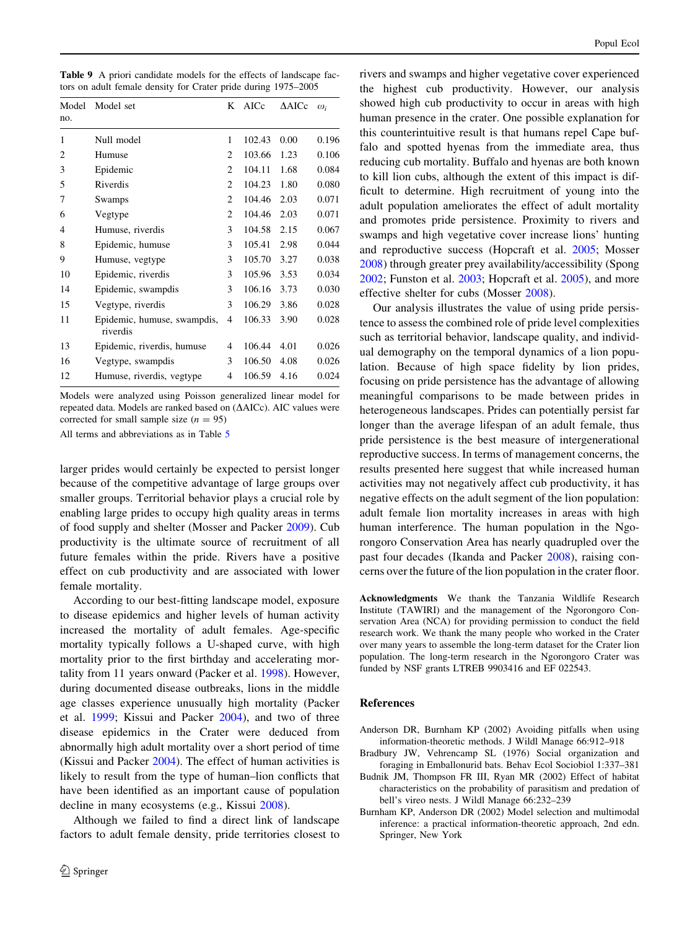<span id="page-7-0"></span>Table 9 A priori candidate models for the effects of landscape factors on adult female density for Crater pride during 1975–2005

| Model<br>no. | Model set                               | K              | AICc   | $\triangle$ AICc | $\omega_i$ |
|--------------|-----------------------------------------|----------------|--------|------------------|------------|
| 1            | Null model                              | 1              | 102.43 | 0.00             | 0.196      |
| 2            | Humuse                                  | $\overline{c}$ | 103.66 | 1.23             | 0.106      |
| 3            | Epidemic                                | $\overline{c}$ | 104.11 | 1.68             | 0.084      |
| 5            | Riverdis                                | $\overline{2}$ | 104.23 | 1.80             | 0.080      |
| 7            | Swamps                                  | $\mathfrak{D}$ | 104.46 | 2.03             | 0.071      |
| 6            | Vegtype                                 | $\mathfrak{D}$ | 104.46 | 2.03             | 0.071      |
| 4            | Humuse, riverdis                        | 3              | 104.58 | 2.15             | 0.067      |
| 8            | Epidemic, humuse                        | 3              | 105.41 | 2.98             | 0.044      |
| 9            | Humuse, vegtype                         | 3              | 105.70 | 3.27             | 0.038      |
| 10           | Epidemic, riverdis                      | 3              | 105.96 | 3.53             | 0.034      |
| 14           | Epidemic, swampdis                      | 3              | 106.16 | 3.73             | 0.030      |
| 15           | Vegtype, riverdis                       | 3              | 106.29 | 3.86             | 0.028      |
| 11           | Epidemic, humuse, swampdis,<br>riverdis | 4              | 106.33 | 3.90             | 0.028      |
| 13           | Epidemic, riverdis, humuse              | 4              | 106.44 | 4.01             | 0.026      |
| 16           | Vegtype, swampdis                       | 3              | 106.50 | 4.08             | 0.026      |
| 12           | Humuse, riverdis, vegtype               | 4              | 106.59 | 4.16             | 0.024      |

Models were analyzed using Poisson generalized linear model for repeated data. Models are ranked based on ( $\Delta AICc$ ). AIC values were corrected for small sample size  $(n = 95)$ 

All terms and abbreviations as in Table [5](#page-6-0)

larger prides would certainly be expected to persist longer because of the competitive advantage of large groups over smaller groups. Territorial behavior plays a crucial role by enabling large prides to occupy high quality areas in terms of food supply and shelter (Mosser and Packer [2009\)](#page-8-0). Cub productivity is the ultimate source of recruitment of all future females within the pride. Rivers have a positive effect on cub productivity and are associated with lower female mortality.

According to our best-fitting landscape model, exposure to disease epidemics and higher levels of human activity increased the mortality of adult females. Age-specific mortality typically follows a U-shaped curve, with high mortality prior to the first birthday and accelerating mortality from 11 years onward (Packer et al. [1998\)](#page-8-0). However, during documented disease outbreaks, lions in the middle age classes experience unusually high mortality (Packer et al. [1999;](#page-8-0) Kissui and Packer [2004](#page-8-0)), and two of three disease epidemics in the Crater were deduced from abnormally high adult mortality over a short period of time (Kissui and Packer [2004\)](#page-8-0). The effect of human activities is likely to result from the type of human–lion conflicts that have been identified as an important cause of population decline in many ecosystems (e.g., Kissui [2008](#page-8-0)).

Although we failed to find a direct link of landscape factors to adult female density, pride territories closest to rivers and swamps and higher vegetative cover experienced the highest cub productivity. However, our analysis showed high cub productivity to occur in areas with high human presence in the crater. One possible explanation for this counterintuitive result is that humans repel Cape buffalo and spotted hyenas from the immediate area, thus reducing cub mortality. Buffalo and hyenas are both known to kill lion cubs, although the extent of this impact is difficult to determine. High recruitment of young into the adult population ameliorates the effect of adult mortality and promotes pride persistence. Proximity to rivers and swamps and high vegetative cover increase lions' hunting and reproductive success (Hopcraft et al. [2005](#page-8-0); Mosser [2008](#page-8-0)) through greater prey availability/accessibility (Spong [2002](#page-8-0); Funston et al. [2003](#page-8-0); Hopcraft et al. [2005](#page-8-0)), and more effective shelter for cubs (Mosser [2008](#page-8-0)).

Our analysis illustrates the value of using pride persistence to assess the combined role of pride level complexities such as territorial behavior, landscape quality, and individual demography on the temporal dynamics of a lion population. Because of high space fidelity by lion prides, focusing on pride persistence has the advantage of allowing meaningful comparisons to be made between prides in heterogeneous landscapes. Prides can potentially persist far longer than the average lifespan of an adult female, thus pride persistence is the best measure of intergenerational reproductive success. In terms of management concerns, the results presented here suggest that while increased human activities may not negatively affect cub productivity, it has negative effects on the adult segment of the lion population: adult female lion mortality increases in areas with high human interference. The human population in the Ngorongoro Conservation Area has nearly quadrupled over the past four decades (Ikanda and Packer [2008\)](#page-8-0), raising concerns over the future of the lion population in the crater floor.

Acknowledgments We thank the Tanzania Wildlife Research Institute (TAWIRI) and the management of the Ngorongoro Conservation Area (NCA) for providing permission to conduct the field research work. We thank the many people who worked in the Crater over many years to assemble the long-term dataset for the Crater lion population. The long-term research in the Ngorongoro Crater was funded by NSF grants LTREB 9903416 and EF 022543.

## References

- Anderson DR, Burnham KP (2002) Avoiding pitfalls when using information-theoretic methods. J Wildl Manage 66:912–918
- Bradbury JW, Vehrencamp SL (1976) Social organization and foraging in Emballonurid bats. Behav Ecol Sociobiol 1:337–381
- Budnik JM, Thompson FR III, Ryan MR (2002) Effect of habitat characteristics on the probability of parasitism and predation of bell's vireo nests. J Wildl Manage 66:232–239
- Burnham KP, Anderson DR (2002) Model selection and multimodal inference: a practical information-theoretic approach, 2nd edn. Springer, New York